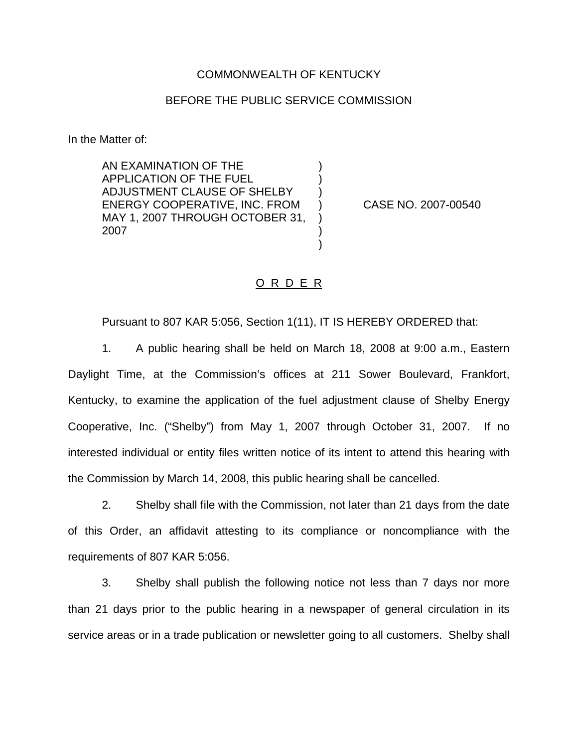## COMMONWEALTH OF KENTUCKY

## BEFORE THE PUBLIC SERVICE COMMISSION

) ) )

) ) )

In the Matter of:

AN EXAMINATION OF THE APPLICATION OF THE FUEL ADJUSTMENT CLAUSE OF SHELBY ENERGY COOPERATIVE, INC. FROM MAY 1, 2007 THROUGH OCTOBER 31, 2007

) CASE NO. 2007-00540

## O R D E R

Pursuant to 807 KAR 5:056, Section 1(11), IT IS HEREBY ORDERED that:

1. A public hearing shall be held on March 18, 2008 at 9:00 a.m., Eastern Daylight Time, at the Commission's offices at 211 Sower Boulevard, Frankfort, Kentucky, to examine the application of the fuel adjustment clause of Shelby Energy Cooperative, Inc. ("Shelby") from May 1, 2007 through October 31, 2007. If no interested individual or entity files written notice of its intent to attend this hearing with the Commission by March 14, 2008, this public hearing shall be cancelled.

2. Shelby shall file with the Commission, not later than 21 days from the date of this Order, an affidavit attesting to its compliance or noncompliance with the requirements of 807 KAR 5:056.

3. Shelby shall publish the following notice not less than 7 days nor more than 21 days prior to the public hearing in a newspaper of general circulation in its service areas or in a trade publication or newsletter going to all customers. Shelby shall